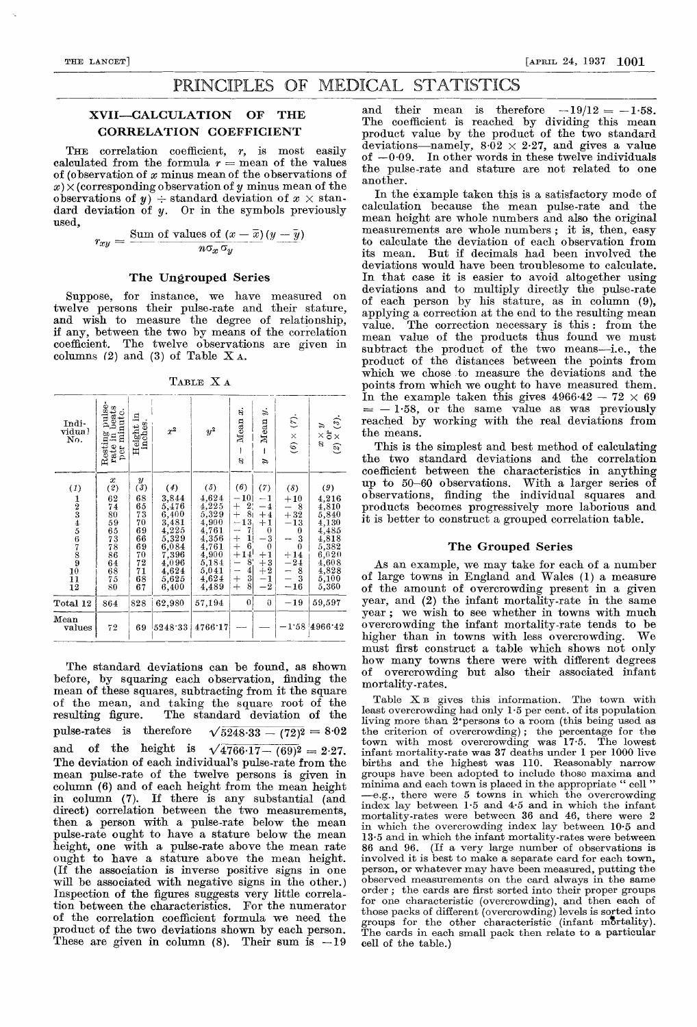## PRINCIPLES OF MEDICAL STATISTICS

### XVII—CALCULATION OF THE CORRELATION COEFFICIENT

THE correlation coefficient,  $r$ , is most easily calculated from the formula  $r =$  mean of the values of (observation of  $x$  minus mean of the observations of  $x) \times$  (corresponding observation of y minus mean of the  $\text{observations of } y$   $\rightarrow$  standard deviation of  $x \times \text{stan}$ dard deviation of y. Or in the symbols previously<br>used,<br> $r_{xy} = \frac{\text{Sum of values of } (x - \bar{x}) (y - \bar{y})}{n \sigma_x \sigma_y}$ used,

$$
r_{xy} = \frac{\text{Sum of values of } (x - \overline{x})(y - \overline{y})}{n\sigma_x \sigma_y}
$$

#### The Ungrouped Series

Suppose, for instance, we have measured on twelve persons their pulse-rate and their stature, and wish to measure the degree of relationship, if any, between the two by means of the correlation coefficient. The twelve observations are given in columns (2) and (3) of Table  $X_A$ .

TABLE X A

| Indi-<br>vidual<br>No.                                                                                         | pulse-<br>beats<br>per minute.<br>rate in<br>Resting                                                         | 보<br>Height i<br>inches.                                                                        | $x^2$                                                                                                                        | $\boldsymbol{y^2}$                                                                                              | $\ddot{\mathrm{a}}$<br>Mean<br>8                                                                                                                                                                                                          | s.<br>Mean<br>I<br>É,                                                                                                                                                      | $\hat{\epsilon}$<br>$(\mathbf{6})$ $\times$                                                                                                       | $\hat{v}$<br>$\tilde{c}$<br>$\overleftarrow{\mathtt{o}}\times$<br>$\times$<br>$\mathcal{S}% _{0}$<br>$\widehat{z}$                                 |
|----------------------------------------------------------------------------------------------------------------|--------------------------------------------------------------------------------------------------------------|-------------------------------------------------------------------------------------------------|------------------------------------------------------------------------------------------------------------------------------|-----------------------------------------------------------------------------------------------------------------|-------------------------------------------------------------------------------------------------------------------------------------------------------------------------------------------------------------------------------------------|----------------------------------------------------------------------------------------------------------------------------------------------------------------------------|---------------------------------------------------------------------------------------------------------------------------------------------------|----------------------------------------------------------------------------------------------------------------------------------------------------|
| $\left(1\right)$<br>$\frac{1}{2}$ $\frac{2}{3}$ $\frac{4}{5}$ $\frac{6}{7}$ $\frac{8}{9}$ $\frac{9}{11}$<br>12 | $\boldsymbol{x}$<br>$\overline{2}$<br>62<br>74<br>80<br>59<br>65<br>$\frac{73}{78}$<br>$\frac{64}{68}$<br>80 | $\boldsymbol{y}$<br>(3)<br>68<br>65<br>73<br>70<br>69<br>66<br>69<br>70<br>72<br>71<br>68<br>67 | (4)<br>3,844<br>5,476<br>$6,400$<br>$3,481$<br>$\frac{4,225}{5,329}$<br>$6,084$<br>7,396<br>4,096<br>4,624<br>5,625<br>6,400 | (5)<br>4,624<br>4,225<br>5,329<br>4,900<br>4,761<br>4,356<br>4,761<br>4,900<br>5,184<br>5,041<br>4,624<br>4,489 | (6)<br>10 <sub>1</sub><br>—<br>2 <sub>1</sub><br>$+$<br>8 <sub>1</sub><br>13<br>7<br>÷<br>$+$<br>$\mathbf{1}$<br>6<br>$14^{\dagger}$<br>8 <sup>1</sup><br>$\overline{\phantom{0}}$<br>$rac{4}{3}$<br>$\overline{\phantom{m}}$<br>$+$<br>8 | (7)<br>$-1$<br>$\overline{\mathbf{1}}$<br>$+4$<br>$+1$<br>$\boldsymbol{0}$<br>$\overline{3}$<br>$\bf{0}$<br>$^{+1}_{+3}_{+2}$<br>$\frac{1}{2}$<br>$\overline{\phantom{0}}$ | (8)<br>$+10$<br>8<br>$+32$<br>13<br>$\equiv$<br>$\bf{0}$<br>$\frac{3}{0}$<br>$+14$<br>$-24$<br>$\frac{8}{3}$<br>$\overline{\phantom{a}}$<br>$-16$ | (9)<br>4,216<br>4,810<br>5,840<br>4,130<br>4,485<br>4,818<br>5,382<br>6,020<br>4,608<br>$\frac{1}{4}$ , $\frac{828}{5}$ , $\frac{8}{100}$<br>5,360 |
| Total 12                                                                                                       | 864                                                                                                          | 828                                                                                             | 62,980                                                                                                                       | 57,194                                                                                                          | $\theta$                                                                                                                                                                                                                                  | $\theta$                                                                                                                                                                   | $-19$                                                                                                                                             | 59,597                                                                                                                                             |
| Mean<br>values                                                                                                 | 72                                                                                                           | 69                                                                                              | 5248.33                                                                                                                      | 4766.17                                                                                                         |                                                                                                                                                                                                                                           |                                                                                                                                                                            | 1.58                                                                                                                                              | 4966.42                                                                                                                                            |

The standard deviations can be found, as shown before, by squaring each observation, finding the mean of these squares, subtracting from it the square of the mean, and taking the square root of the resulting figure. The standard deviation of the pulse-rates is therefore  $\sqrt{5248.33 - (72)^2} = 8.02$ and of the height is  $\sqrt{4766.17 - (69)^2} = 2.27$ . The deviation of each individual's pulse-rate from the mean pulse-rate of the twelve persons is given in column (6) and of each height from the mean height in column (7). If there is any substantial (and direct) correlation between the two measurements, then a person with a pulse-rate below the mean pulse-rate ought to have a stature below the mean height, one with a pulse-rate above the mean rate ought to have a stature above the mean height. (If the association is inverse positive signs in one will be associated with negative signs in the other.) Inspection of the figures suggests very little correlation between the characteristics. For the numerator of the correlation coefficient formula we need the product of the two deviations shown by each person. These are given in column (8). Their sum is  $-19$ 

and their mean is therefore  $-19/12 = -1.58$ . The coefficient is reached by dividing this mean product value by the product of the two standard deviations-namely,  $8.\overline{0}2 \times 2.27$ , and gives a value of  $-0.09$ . In other words in these twelve individuals the pulse-rate and stature are not related to one another.

In the example taken this is a satisfactory mode of calculation because the mean pulse-rate and the mean height are whole numbers and also the original measurements are whole numbers ; it is, then, easy to calculate the deviation of each observation from its mean. But if decimals had been involved the deviations would have been troublesome to calculate. In that case it is easier to avoid altogether using deviations and to multiply directly the pulse-rate of each person by his stature, as in column (9), applying a correction at the end to the resulting mean<br>value. The correction necessary is this: from the The correction necessary is this : from the mean value of the products thus found we must subtract the product of the two means-i.e., the product of the distances between the points from which we chose to measure the deviations and the points from which we ought to have measured them. In the example taken this gives  $4966.42 - 72 \times 69$ <br>=  $-1.58$  or the same value as was previously - 1.58, or the same value as was previously reached by working with the real deviations from the means.

This is the simplest and best method of calculating the two standard deviations and the correlation coefficient between the characteristics in anything up to 50-60 observations. With a larger series of observations, finding the individual squares and products becomes progressively more laborious and it is better to construct a grouped correlation table.

#### The Grouped Series

As an example, we may take for each of a number of large towns in England and Wales (1) a measure of the amount of overcrowding present in a given year, and (2) the infant mortality-rate in the same year ; we wish to see whether in towns with much overcrowding the infant mortality-rate tends to be higher than in towns with less overcrowding. must first construct a table which shows not only how many towns there were with different degrees of overcrowding but also their associated infant mortality-rates.

Table X B gives this information. The town with least overcrowding had only 1-5 per cent. of its population living more than 2'persons to a room (this being used as the criterion of overcrowding) ; the percentage for the town with most overcrowding was 17.5. The lowest infant mortality-rate was 37 deaths under 1 per 1000 live births and the highest was 110. Reasonably narrow groups have been adopted to include those maxima and minima and each town is placed in the appropriate " cell " -e.g., there were 5 towns in which the overcrowding index lay between 1.5 and 4-5 and in which the infant mortality-rates were between 36 and 46, there were 2 in which the overcrowding index lay between 10-5 and 13-5 and in which the infant mortality-rates were between 86 and 96. (If a very large number of observations is involved it is best to make a separate card for each town, person, or whatever may have been measured, putting the observed measurements on the card always in the same order ; the cards are first sorted into their proper groups for one characteristic (overcrowding), and then each of those packs of different (overcrowding) levels is sorted into groups for the other characteristic (infant mortality). The cards in each small pack then relate to a particular cell of the table.)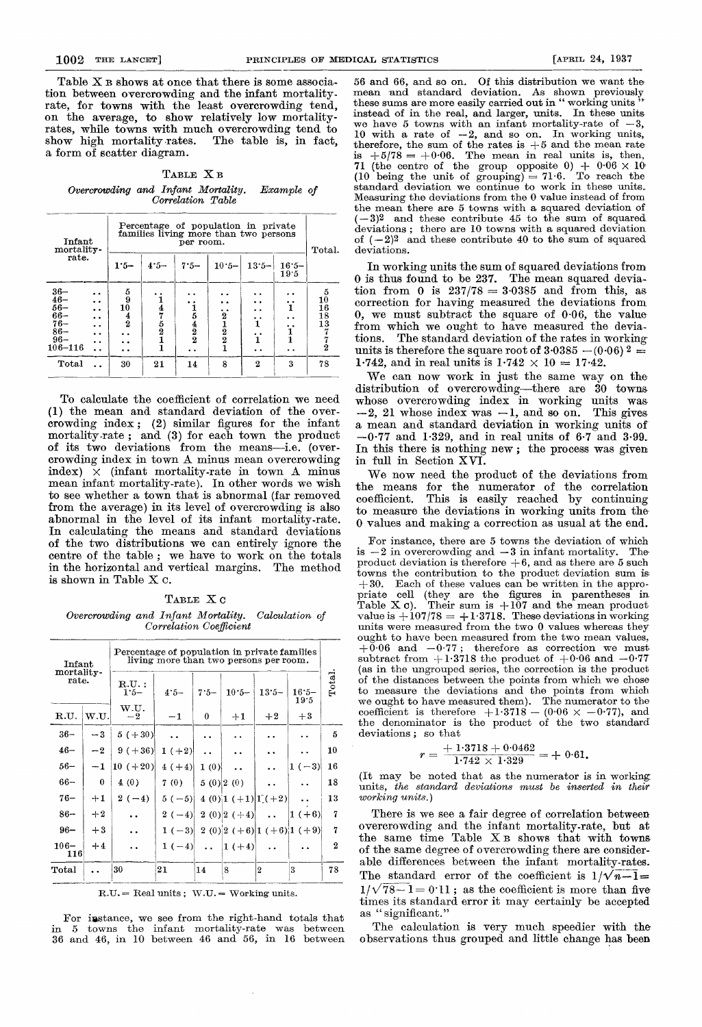Table X B shows at once that there is some association between overcrowding and the infant mortality-rate, for towns with the least overcrowding tend, on the average, to show relatively low mortalityrates, while towns with much overcrowding tend to show high mortality rates. The table is, in fact, a form of scatter diagram.

TABLE X B Overcrowding and Infant Mortality. Example of Correlation Table

|                                                                                   | Infant<br>mortality-                                                                                                        |                                                                     | Percentage of population in private<br>families living more than two persons<br>per room. |                                                        |                                                  |                             |                                                                 |                                     |  |
|-----------------------------------------------------------------------------------|-----------------------------------------------------------------------------------------------------------------------------|---------------------------------------------------------------------|-------------------------------------------------------------------------------------------|--------------------------------------------------------|--------------------------------------------------|-----------------------------|-----------------------------------------------------------------|-------------------------------------|--|
| rate.                                                                             |                                                                                                                             | $1.5 -$                                                             | $4.5 -$                                                                                   | $7.5 -$                                                | $10.5 -$                                         | $13.5 -$                    | $16.5 -$<br>19.5                                                | Total.                              |  |
| $36 -$<br>$46 -$<br>$56 -$<br>$66 -$<br>$76 -$<br>$86 -$<br>$96 -$<br>$106 - 116$ | $\ddot{\phantom{0}}$<br>$\ddot{\phantom{0}}$<br>$\ddot{\phantom{0}}$<br>$\ddot{\phantom{a}}$<br>$\ddot{\phantom{0}}$<br>. . | $\frac{5}{9}$<br>10<br>$\frac{4}{2}$<br>$\ddot{\phantom{0}}$<br>. . | $\frac{47521}$                                                                            | $\frac{1}{5}$<br>$\frac{4}{2}$<br>$\ddot{\phantom{a}}$ | $\begin{array}{c} 2 \ 2 \ 1 \ 2 \ 1 \end{array}$ | . .<br>. .<br>ï<br>ï<br>. . | . .<br>$\ddot{\phantom{a}}$<br>. .<br>1<br>$\ddot{\phantom{a}}$ | 5<br>10<br>16<br>18<br>13<br>7<br>2 |  |
| Total                                                                             |                                                                                                                             | 30                                                                  | 21                                                                                        | 14                                                     | 8                                                | $\overline{2}$              | 3                                                               | 78                                  |  |

To calculate the coefficient of correlation we need (1) the mean and standard deviation of the overcrowding index; (2) similar figures for the infant mortality-rate ; and (3) for each town the product of its two deviations from the means-i.e. (overcrowding index in town A minus mean overcrowding index)  $\times$  (infant mortality-rate in town A minus mean infant mortality-rate). In other words we wish to see whether a town that is abnormal (far removed from the average) in its level of overcrowding is also abnormal in the level of its infant mortality-rate. In calculating the means and standard deviations of the two distributions we can entirely ignore the centre of the table ; we have to work on the totals in the horizontal and vertical margins. The method is shown in Table X c.

#### TABLE XC

Overcrowding and Infant Mortality. Calculation of Correlation Coefficient

| Infant<br>mortality- |          | Percentage of population in private families<br>living more than two persons per room. |          |                      |                      |                  |                            |                  |
|----------------------|----------|----------------------------------------------------------------------------------------|----------|----------------------|----------------------|------------------|----------------------------|------------------|
| rate.                |          | $R.U.$ :<br>$1:5-$                                                                     | $4.5 -$  | $7.5 -$              | $10.5 -$             | $13.5 -$         | $16.5 -$<br>19.5           | Total.           |
| R.U.                 | W.U.     | w.u.<br>$-2$                                                                           | $-1$     | 0                    | $+1$                 | $+2$             | $+3$                       |                  |
| $36 -$               | $-3$     | $5(+30)$                                                                               |          | $\ddot{\phantom{0}}$ |                      |                  |                            | 5                |
| $46 -$               | $-2$     | $9 (+36)$                                                                              | $1 (+2)$ |                      |                      |                  |                            | 10               |
| $56-$                | $-1$     | $10 (+20)$                                                                             | $4(+4)$  | 1(0)                 |                      |                  | $1(-3)$                    | 16               |
| $66 -$               | $\theta$ | 4(0)                                                                                   | 7(0)     |                      | $5(0)$ 2(0)          |                  |                            | 18               |
| $76 -$               | $+1$     | $2(-4)$                                                                                | $5(-5)$  |                      | $(4(0))1(+1)[1(+2)]$ |                  |                            | 13               |
| $86 -$               | $+2$     |                                                                                        | $2(-4)$  |                      | $2(0)$ $2(+4)$       | $\sim 10^{-11}$  | $ 1(+6) $                  | 7                |
| $96 -$               | $+3$     |                                                                                        | $1(-3)$  |                      |                      |                  | 2 (0) 2 (+6) 1 (+6) 1 (+9) | 7                |
| $106 -$<br>116       | $+4$     |                                                                                        | 1 $(-4)$ | $\sim 10^{-11}$      | $ 1(+4) $            |                  |                            | $\boldsymbol{2}$ |
| Total                |          | 30                                                                                     | 21       | 14                   | 8                    | $\boldsymbol{2}$ | 3                          | 78               |

 $R.U. = Real units ; W.U. = Working units.$ 

For isstance, we see from the right-hand totals that in 5 towns the infant mortality-rate was between 36 and 46, in 10 between 46 and 56, in 16 between

56 and 66, and so on. Of this distribution we want the mean and standard deviation. As shown previously these sums are more easily carried out in " working units instead of in the real, and larger, units. In these units<br>we have 5 towns with an infant mortality-rate of  $-3$ . we have 5 towns with an infant mortality-rate of -10 with a rate of  $-2$ , and so on. In working units, therefore, the sum of the rates is  $+5$  and the mean rate is  $+5/78 = +0.06$ . The mean in real units is, then, 71 (the centre of the group opposite  $0$ ) +  $0.06 \times 10$ , (10 being the unit of grouping) = 71.6. To reach the standard deviation we continue to work in these units. Measuring the deviations from the 0 value instead of from the mean there are 5 towns with a squared deviation of  $(-3)^2$  and these contribute 45 to the sum of squared deviations ; there are 10 towns with a squared deviation of  $(-2)^2$  and these contribute 40 to the sum of squared deviations.

In working units the sum of squared deviations from 0 is thus found to be 237. The mean squared deviation from 0 is  $237/78 = 3.0385$  and from this, as correction for having measured the deviations from 0, we must subtract the square of 0.06, the value from which we ought to have measured the deviations. The standard deviation of the rates in working units is therefore the square root of  $3.0385 - (0.06)^2 =$ 1.742, and in real units is  $1.742 \times 10 = 17.42$ .

We can now work in just the same way on the distribution of overcrowding-there are 30 towns whose overcrowding index in working units was  $-2$ , 21 whose index was  $-1$ , and so on. This gives a mean and standard deviation in working units of - 0.77 and 1.329, and in real units of 6.7 and 3-99. In this there is nothing new; the process was given in full in Section XVI.

We now need the product of the deviations from the means for the numerator of the correlation coefficient. This is easily reached by continuing to measure the deviations in working units from the 0 values and making a correction as usual at the end.

For instance, there are 5 towns the deviation of which  $-2$  in overcrowding and  $-3$  in infant mortality. The is  $-2$  in overcrowding and  $-3$  in infant mortality. product deviation is therefore  $+6$ , and as there are 5 such towns the contribution to the product deviation sum is  $+30.$  Each of these values can be written in the appropriate cell (they are the figures in parentheses in Table X c). Their sum is  $+107$  and the mean product value is  $+107/78 = +1.3718$ . These deviations in working units were measured from the two 0 values whereas they ought to have been measured from the two mean values,  $+0.06$  and  $-0.77$ ; therefore as correction we must subtract from  $+1.3718$  the product of  $+0.06$  and  $-0.77$ (as in the ungrouped series, the correction is the product of the distances between the points from which we chose to measure the deviations and the points from which we ought to have measured them). The numerator to the coefficient is therefore  $+1.3718 - (0.06 \times -0.77)$ , and the denominator is the product of the two standard deviations ; so that

so that  

$$
r = \frac{+ 1.3718 + 0.0462}{1.742 \times 1.329} = + 0.61.
$$

(It may be noted that as the numerator is in working units, the standard deviations must be inserted in their working units.)

There is we see a fair degree of correlation between overcrowding and the infant mortality-rate, but at the same time Table X B shows that with towns of the same degree of overcrowding there are considerable differences between the infant mortality-rates. The standard error of the coefficient is  $1/\sqrt{n-1}$  $1/\sqrt{78-1}=0.11$ ; as the coefficient is more than five times its standard error it may certainly be accepted as "significant."

The calculation is very much speedier with the observations thus grouped and little change has been